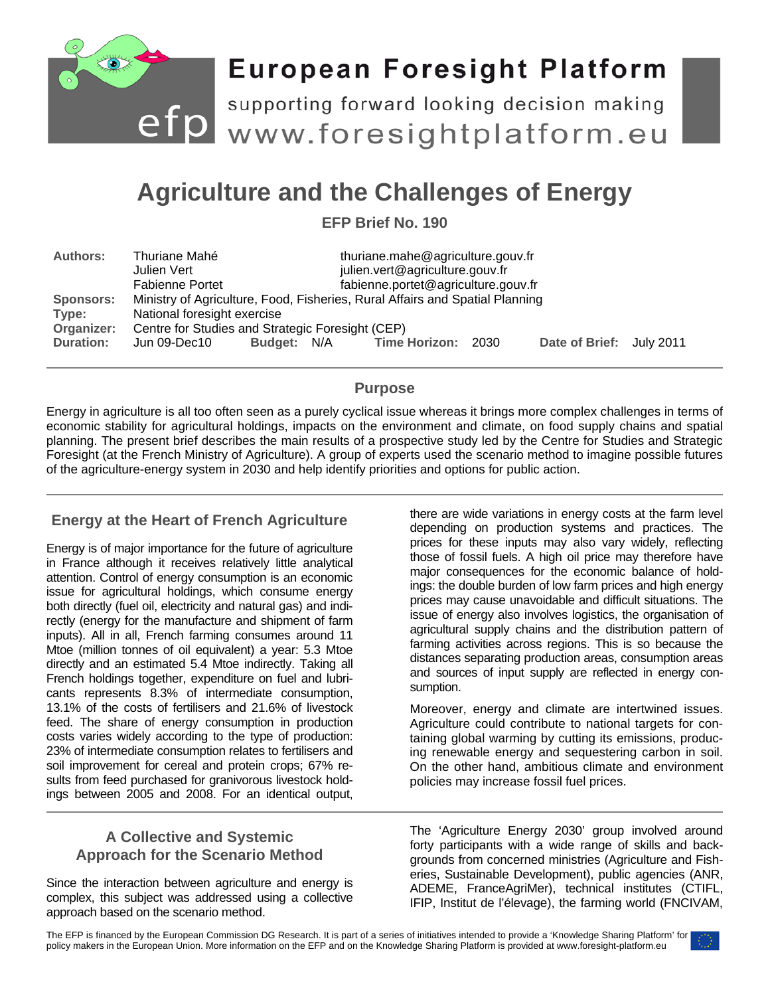

# **European Foresight Platform**

efp supporting forward looking decision making<br>www.foresightplatform.eu supporting forward looking decision making

## **Agriculture and the Challenges of Energy**

**EFP Brief No. 190**

| <b>Authors:</b>  | thuriane.mahe@agriculture.gouv.fr<br>Thuriane Mahé                           |             |  |                                     |  |                          |  |
|------------------|------------------------------------------------------------------------------|-------------|--|-------------------------------------|--|--------------------------|--|
|                  | Julien Vert                                                                  |             |  | julien.vert@agriculture.gouv.fr     |  |                          |  |
|                  | <b>Fabienne Portet</b>                                                       |             |  | fabienne.portet@agriculture.gouv.fr |  |                          |  |
| <b>Sponsors:</b> | Ministry of Agriculture, Food, Fisheries, Rural Affairs and Spatial Planning |             |  |                                     |  |                          |  |
| Type:            | National foresight exercise                                                  |             |  |                                     |  |                          |  |
| Organizer:       | Centre for Studies and Strategic Foresight (CEP)                             |             |  |                                     |  |                          |  |
| <b>Duration:</b> | Jun 09-Dec10                                                                 | Budget: N/A |  | Time Horizon: 2030                  |  | Date of Brief: July 2011 |  |

## **Purpose**

Energy in agriculture is all too often seen as a purely cyclical issue whereas it brings more complex challenges in terms of economic stability for agricultural holdings, impacts on the environment and climate, on food supply chains and spatial planning. The present brief describes the main results of a prospective study led by the Centre for Studies and Strategic Foresight (at the French Ministry of Agriculture). A group of experts used the scenario method to imagine possible futures of the agriculture-energy system in 2030 and help identify priorities and options for public action.

## **Energy at the Heart of French Agriculture**

Energy is of major importance for the future of agriculture in France although it receives relatively little analytical attention. Control of energy consumption is an economic issue for agricultural holdings, which consume energy both directly (fuel oil, electricity and natural gas) and indirectly (energy for the manufacture and shipment of farm inputs). All in all, French farming consumes around 11 Mtoe (million tonnes of oil equivalent) a year: 5.3 Mtoe directly and an estimated 5.4 Mtoe indirectly. Taking all French holdings together, expenditure on fuel and lubricants represents 8.3% of intermediate consumption, 13.1% of the costs of fertilisers and 21.6% of livestock feed. The share of energy consumption in production costs varies widely according to the type of production: 23% of intermediate consumption relates to fertilisers and soil improvement for cereal and protein crops; 67% results from feed purchased for granivorous livestock holdings between 2005 and 2008. For an identical output,

there are wide variations in energy costs at the farm level depending on production systems and practices. The prices for these inputs may also vary widely, reflecting those of fossil fuels. A high oil price may therefore have major consequences for the economic balance of holdings: the double burden of low farm prices and high energy prices may cause unavoidable and difficult situations. The issue of energy also involves logistics, the organisation of agricultural supply chains and the distribution pattern of farming activities across regions. This is so because the distances separating production areas, consumption areas and sources of input supply are reflected in energy consumption.

Moreover, energy and climate are intertwined issues. Agriculture could contribute to national targets for containing global warming by cutting its emissions, producing renewable energy and sequestering carbon in soil. On the other hand, ambitious climate and environment policies may increase fossil fuel prices.

## **A Collective and Systemic Approach for the Scenario Method**

Since the interaction between agriculture and energy is complex, this subject was addressed using a collective approach based on the scenario method.

The 'Agriculture Energy 2030' group involved around forty participants with a wide range of skills and backgrounds from concerned ministries (Agriculture and Fisheries, Sustainable Development), public agencies (ANR, ADEME, FranceAgriMer), technical institutes (CTIFL, IFIP, Institut de l'élevage), the farming world (FNCIVAM,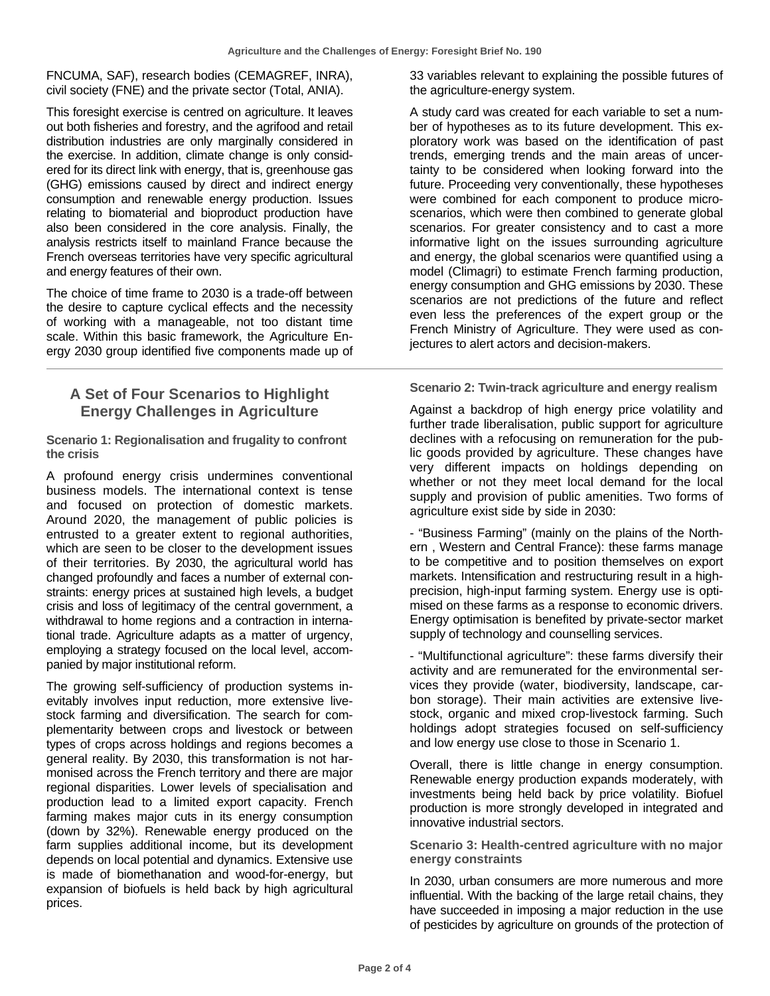FNCUMA, SAF), research bodies (CEMAGREF, INRA), civil society (FNE) and the private sector (Total, ANIA).

This foresight exercise is centred on agriculture. It leaves out both fisheries and forestry, and the agrifood and retail distribution industries are only marginally considered in the exercise. In addition, climate change is only considered for its direct link with energy, that is, greenhouse gas (GHG) emissions caused by direct and indirect energy consumption and renewable energy production. Issues relating to biomaterial and bioproduct production have also been considered in the core analysis. Finally, the analysis restricts itself to mainland France because the French overseas territories have very specific agricultural and energy features of their own.

The choice of time frame to 2030 is a trade-off between the desire to capture cyclical effects and the necessity of working with a manageable, not too distant time scale. Within this basic framework, the Agriculture Energy 2030 group identified five components made up of

## **A Set of Four Scenarios to Highlight Energy Challenges in Agriculture**

**Scenario 1: Regionalisation and frugality to confront the crisis**

A profound energy crisis undermines conventional business models. The international context is tense and focused on protection of domestic markets. Around 2020, the management of public policies is entrusted to a greater extent to regional authorities, which are seen to be closer to the development issues of their territories. By 2030, the agricultural world has changed profoundly and faces a number of external constraints: energy prices at sustained high levels, a budget crisis and loss of legitimacy of the central government, a withdrawal to home regions and a contraction in international trade. Agriculture adapts as a matter of urgency, employing a strategy focused on the local level, accompanied by major institutional reform.

The growing self-sufficiency of production systems inevitably involves input reduction, more extensive livestock farming and diversification. The search for complementarity between crops and livestock or between types of crops across holdings and regions becomes a general reality. By 2030, this transformation is not harmonised across the French territory and there are major regional disparities. Lower levels of specialisation and production lead to a limited export capacity. French farming makes major cuts in its energy consumption (down by 32%). Renewable energy produced on the farm supplies additional income, but its development depends on local potential and dynamics. Extensive use is made of biomethanation and wood-for-energy, but expansion of biofuels is held back by high agricultural prices.

33 variables relevant to explaining the possible futures of the agriculture-energy system.

A study card was created for each variable to set a number of hypotheses as to its future development. This exploratory work was based on the identification of past trends, emerging trends and the main areas of uncertainty to be considered when looking forward into the future. Proceeding very conventionally, these hypotheses were combined for each component to produce microscenarios, which were then combined to generate global scenarios. For greater consistency and to cast a more informative light on the issues surrounding agriculture and energy, the global scenarios were quantified using a model (Climagri) to estimate French farming production, energy consumption and GHG emissions by 2030. These scenarios are not predictions of the future and reflect even less the preferences of the expert group or the French Ministry of Agriculture. They were used as conjectures to alert actors and decision-makers.

**Scenario 2: Twin-track agriculture and energy realism**

Against a backdrop of high energy price volatility and further trade liberalisation, public support for agriculture declines with a refocusing on remuneration for the public goods provided by agriculture. These changes have very different impacts on holdings depending on whether or not they meet local demand for the local supply and provision of public amenities. Two forms of agriculture exist side by side in 2030:

- "Business Farming" (mainly on the plains of the Northern , Western and Central France): these farms manage to be competitive and to position themselves on export markets. Intensification and restructuring result in a highprecision, high-input farming system. Energy use is optimised on these farms as a response to economic drivers. Energy optimisation is benefited by private-sector market supply of technology and counselling services.

- "Multifunctional agriculture": these farms diversify their activity and are remunerated for the environmental services they provide (water, biodiversity, landscape, carbon storage). Their main activities are extensive livestock, organic and mixed crop-livestock farming. Such holdings adopt strategies focused on self-sufficiency and low energy use close to those in Scenario 1.

Overall, there is little change in energy consumption. Renewable energy production expands moderately, with investments being held back by price volatility. Biofuel production is more strongly developed in integrated and innovative industrial sectors.

**Scenario 3: Health-centred agriculture with no major energy constraints**

In 2030, urban consumers are more numerous and more influential. With the backing of the large retail chains, they have succeeded in imposing a major reduction in the use of pesticides by agriculture on grounds of the protection of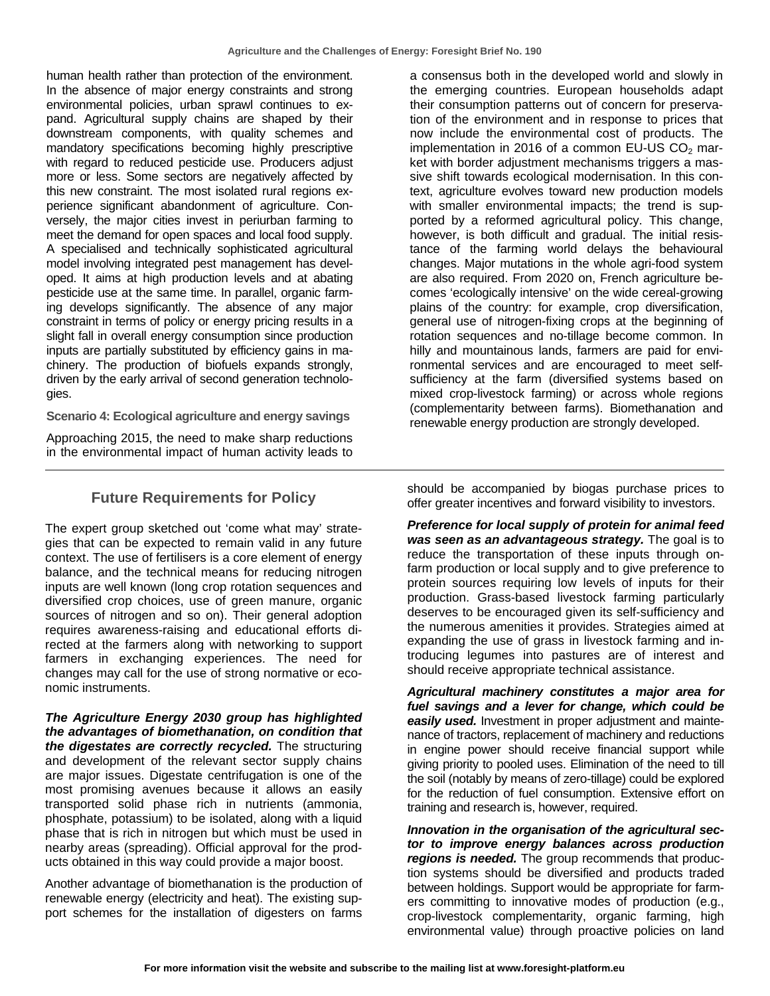human health rather than protection of the environment. In the absence of major energy constraints and strong environmental policies, urban sprawl continues to expand. Agricultural supply chains are shaped by their downstream components, with quality schemes and mandatory specifications becoming highly prescriptive with regard to reduced pesticide use. Producers adjust more or less. Some sectors are negatively affected by this new constraint. The most isolated rural regions experience significant abandonment of agriculture. Conversely, the major cities invest in periurban farming to meet the demand for open spaces and local food supply. A specialised and technically sophisticated agricultural model involving integrated pest management has developed. It aims at high production levels and at abating pesticide use at the same time. In parallel, organic farming develops significantly. The absence of any major constraint in terms of policy or energy pricing results in a slight fall in overall energy consumption since production inputs are partially substituted by efficiency gains in machinery. The production of biofuels expands strongly, driven by the early arrival of second generation technologies.

**Scenario 4: Ecological agriculture and energy savings**

Approaching 2015, the need to make sharp reductions in the environmental impact of human activity leads to

### **Future Requirements for Policy**

The expert group sketched out 'come what may' strategies that can be expected to remain valid in any future context. The use of fertilisers is a core element of energy balance, and the technical means for reducing nitrogen inputs are well known (long crop rotation sequences and diversified crop choices, use of green manure, organic sources of nitrogen and so on). Their general adoption requires awareness-raising and educational efforts directed at the farmers along with networking to support farmers in exchanging experiences. The need for changes may call for the use of strong normative or economic instruments.

*The Agriculture Energy 2030 group has highlighted the advantages of biomethanation, on condition that the digestates are correctly recycled.* The structuring and development of the relevant sector supply chains are major issues. Digestate centrifugation is one of the most promising avenues because it allows an easily transported solid phase rich in nutrients (ammonia, phosphate, potassium) to be isolated, along with a liquid phase that is rich in nitrogen but which must be used in nearby areas (spreading). Official approval for the products obtained in this way could provide a major boost.

Another advantage of biomethanation is the production of renewable energy (electricity and heat). The existing support schemes for the installation of digesters on farms

a consensus both in the developed world and slowly in the emerging countries. European households adapt their consumption patterns out of concern for preservation of the environment and in response to prices that now include the environmental cost of products. The implementation in 2016 of a common EU-US  $CO<sub>2</sub>$  market with border adjustment mechanisms triggers a massive shift towards ecological modernisation. In this context, agriculture evolves toward new production models with smaller environmental impacts; the trend is supported by a reformed agricultural policy. This change, however, is both difficult and gradual. The initial resistance of the farming world delays the behavioural changes. Major mutations in the whole agri-food system are also required. From 2020 on, French agriculture becomes 'ecologically intensive' on the wide cereal-growing plains of the country: for example, crop diversification, general use of nitrogen-fixing crops at the beginning of rotation sequences and no-tillage become common. In hilly and mountainous lands, farmers are paid for environmental services and are encouraged to meet selfsufficiency at the farm (diversified systems based on mixed crop-livestock farming) or across whole regions (complementarity between farms). Biomethanation and renewable energy production are strongly developed.

should be accompanied by biogas purchase prices to offer greater incentives and forward visibility to investors.

*Preference for local supply of protein for animal feed was seen as an advantageous strategy.* The goal is to reduce the transportation of these inputs through onfarm production or local supply and to give preference to protein sources requiring low levels of inputs for their production. Grass-based livestock farming particularly deserves to be encouraged given its self-sufficiency and the numerous amenities it provides. Strategies aimed at expanding the use of grass in livestock farming and introducing legumes into pastures are of interest and should receive appropriate technical assistance.

*Agricultural machinery constitutes a major area for fuel savings and a lever for change, which could be easily used.* Investment in proper adjustment and maintenance of tractors, replacement of machinery and reductions in engine power should receive financial support while giving priority to pooled uses. Elimination of the need to till the soil (notably by means of zero-tillage) could be explored for the reduction of fuel consumption. Extensive effort on training and research is, however, required.

*Innovation in the organisation of the agricultural sector to improve energy balances across production regions is needed.* The group recommends that production systems should be diversified and products traded between holdings. Support would be appropriate for farmers committing to innovative modes of production (e.g., crop-livestock complementarity, organic farming, high environmental value) through proactive policies on land